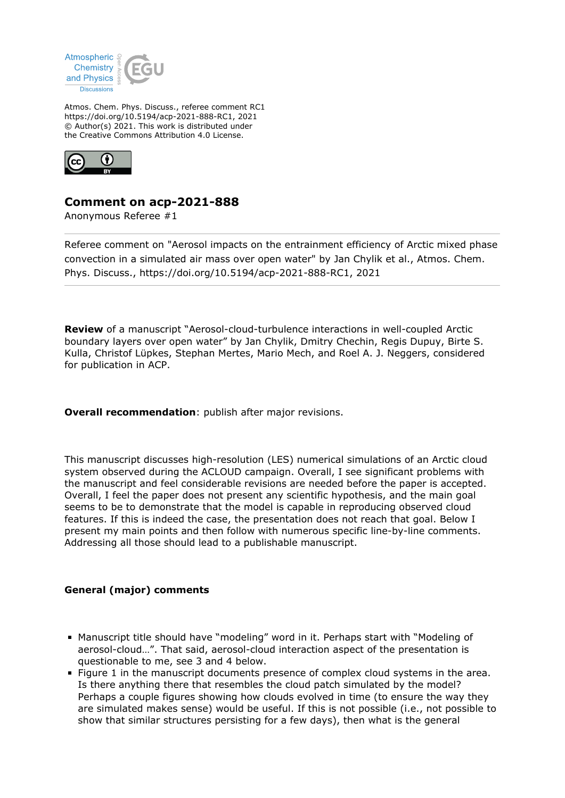

Atmos. Chem. Phys. Discuss., referee comment RC1 https://doi.org/10.5194/acp-2021-888-RC1, 2021 © Author(s) 2021. This work is distributed under the Creative Commons Attribution 4.0 License.



## **Comment on acp-2021-888**

Anonymous Referee #1

Referee comment on "Aerosol impacts on the entrainment efficiency of Arctic mixed phase convection in a simulated air mass over open water" by Jan Chylik et al., Atmos. Chem. Phys. Discuss., https://doi.org/10.5194/acp-2021-888-RC1, 2021

**Review** of a manuscript "Aerosol-cloud-turbulence interactions in well-coupled Arctic boundary layers over open water" by Jan Chylik, Dmitry Chechin, Regis Dupuy, Birte S. Kulla, Christof Lüpkes, Stephan Mertes, Mario Mech, and Roel A. J. Neggers, considered for publication in ACP.

**Overall recommendation:** publish after major revisions.

This manuscript discusses high-resolution (LES) numerical simulations of an Arctic cloud system observed during the ACLOUD campaign. Overall, I see significant problems with the manuscript and feel considerable revisions are needed before the paper is accepted. Overall, I feel the paper does not present any scientific hypothesis, and the main goal seems to be to demonstrate that the model is capable in reproducing observed cloud features. If this is indeed the case, the presentation does not reach that goal. Below I present my main points and then follow with numerous specific line-by-line comments. Addressing all those should lead to a publishable manuscript.

## **General (major) comments**

- Manuscript title should have "modeling" word in it. Perhaps start with "Modeling of aerosol-cloud…". That said, aerosol-cloud interaction aspect of the presentation is questionable to me, see 3 and 4 below.
- Figure 1 in the manuscript documents presence of complex cloud systems in the area. Is there anything there that resembles the cloud patch simulated by the model? Perhaps a couple figures showing how clouds evolved in time (to ensure the way they are simulated makes sense) would be useful. If this is not possible (i.e., not possible to show that similar structures persisting for a few days), then what is the general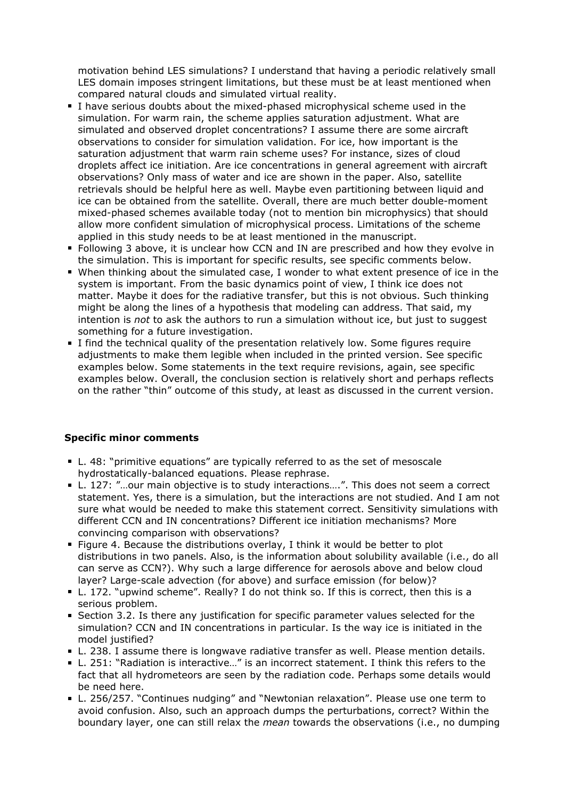motivation behind LES simulations? I understand that having a periodic relatively small LES domain imposes stringent limitations, but these must be at least mentioned when compared natural clouds and simulated virtual reality.

- I have serious doubts about the mixed-phased microphysical scheme used in the simulation. For warm rain, the scheme applies saturation adjustment. What are simulated and observed droplet concentrations? I assume there are some aircraft observations to consider for simulation validation. For ice, how important is the saturation adjustment that warm rain scheme uses? For instance, sizes of cloud droplets affect ice initiation. Are ice concentrations in general agreement with aircraft observations? Only mass of water and ice are shown in the paper. Also, satellite retrievals should be helpful here as well. Maybe even partitioning between liquid and ice can be obtained from the satellite. Overall, there are much better double-moment mixed-phased schemes available today (not to mention bin microphysics) that should allow more confident simulation of microphysical process. Limitations of the scheme applied in this study needs to be at least mentioned in the manuscript.
- Following 3 above, it is unclear how CCN and IN are prescribed and how they evolve in the simulation. This is important for specific results, see specific comments below.
- When thinking about the simulated case, I wonder to what extent presence of ice in the system is important. From the basic dynamics point of view, I think ice does not matter. Maybe it does for the radiative transfer, but this is not obvious. Such thinking might be along the lines of a hypothesis that modeling can address. That said, my intention is *not* to ask the authors to run a simulation without ice, but just to suggest something for a future investigation.
- I find the technical quality of the presentation relatively low. Some figures require adjustments to make them legible when included in the printed version. See specific examples below. Some statements in the text require revisions, again, see specific examples below. Overall, the conclusion section is relatively short and perhaps reflects on the rather "thin" outcome of this study, at least as discussed in the current version.

## **Specific minor comments**

- L. 48: "primitive equations" are typically referred to as the set of mesoscale hydrostatically-balanced equations. Please rephrase.
- L. 127: "...our main objective is to study interactions....". This does not seem a correct statement. Yes, there is a simulation, but the interactions are not studied. And I am not sure what would be needed to make this statement correct. Sensitivity simulations with different CCN and IN concentrations? Different ice initiation mechanisms? More convincing comparison with observations?
- **Figure 4. Because the distributions overlay, I think it would be better to plot** distributions in two panels. Also, is the information about solubility available (i.e., do all can serve as CCN?). Why such a large difference for aerosols above and below cloud layer? Large-scale advection (for above) and surface emission (for below)?
- L. 172. "upwind scheme". Really? I do not think so. If this is correct, then this is a serious problem.
- **Section 3.2. Is there any justification for specific parameter values selected for the** simulation? CCN and IN concentrations in particular. Is the way ice is initiated in the model justified?
- L. 238. I assume there is longwave radiative transfer as well. Please mention details.
- L. 251: "Radiation is interactive…" is an incorrect statement. I think this refers to the fact that all hydrometeors are seen by the radiation code. Perhaps some details would be need here.
- L. 256/257. "Continues nudging" and "Newtonian relaxation". Please use one term to avoid confusion. Also, such an approach dumps the perturbations, correct? Within the boundary layer, one can still relax the *mean* towards the observations (i.e., no dumping